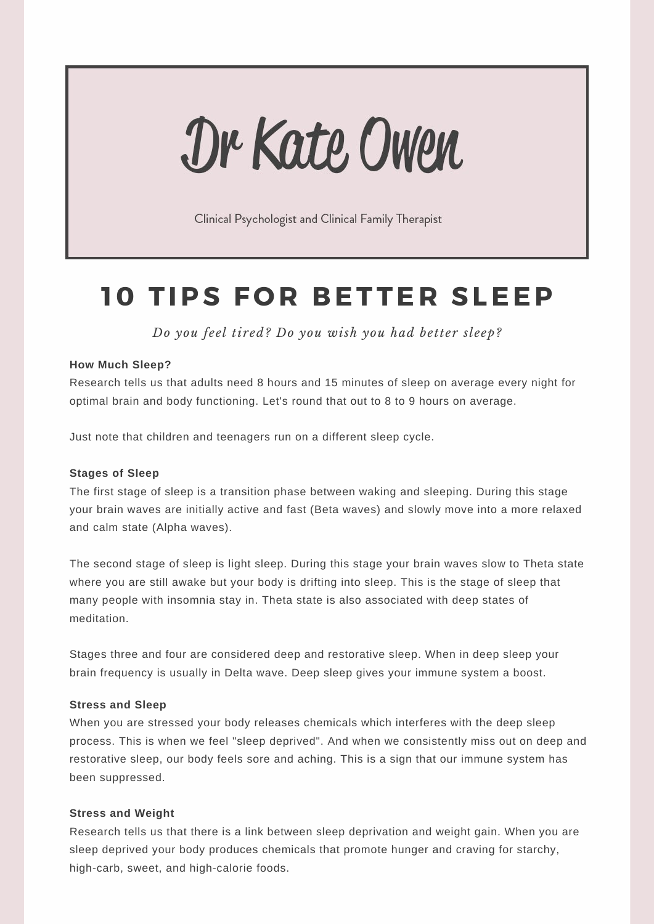# Dr Kate Owen

Clinical Psychologist and Clinical Family Therapist

## **1 0 TIPS F O R B ETTE R SLEEP**

*Do you feel tired? Do you wish you had better sleep?*

#### **How Much Sleep?**

Research tells us that adults need 8 hours and 15 minutes of sleep on average every night for optimal brain and body functioning. Let's round that out to 8 to 9 hours on average.

Just note that children and teenagers run on a different sleep cycle.

#### **Stages of Sleep**

The first stage of sleep is a transition phase between waking and sleeping. During this stage your brain waves are initially active and fast (Beta waves) and slowly move into a more relaxed and calm state (Alpha waves).

The second stage of sleep is light sleep. During this stage your brain waves slow to Theta state where you are still awake but your body is drifting into sleep. This is the stage of sleep that many people with insomnia stay in. Theta state is also associated with deep states of meditation.

Stages three and four are considered deep and restorative sleep. When in deep sleep your brain frequency is usually in Delta wave. Deep sleep gives your immune system a boost.

#### **Stress and Sleep**

When you are stressed your body releases chemicals which interferes with the deep sleep process. This is when we feel "sleep deprived". And when we consistently miss out on deep and restorative sleep, our body feels sore and aching. This is a sign that our immune system has been suppressed.

#### **Stress and Weight**

Research tells us that there is a link between sleep deprivation and weight gain. When you are sleep deprived your body produces chemicals that promote hunger and craving for starchy, high-carb, sweet, and high-calorie foods.